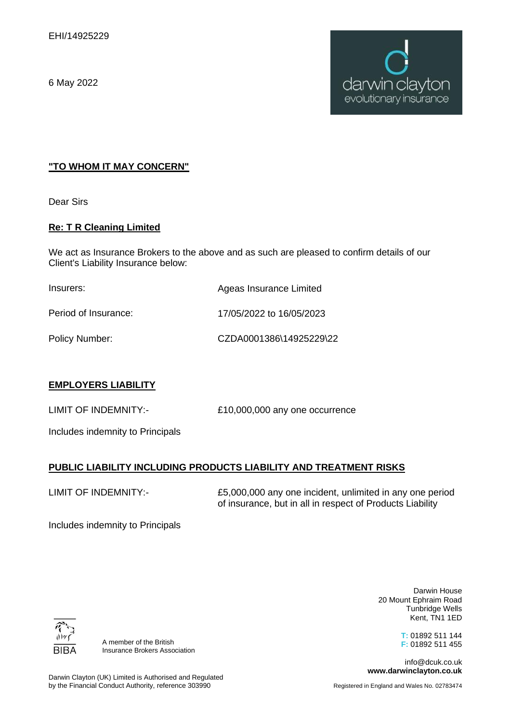6 May 2022



#### **"TO WHOM IT MAY CONCERN"**

Dear Sirs

#### **Re: T R Cleaning Limited**

We act as Insurance Brokers to the above and as such are pleased to confirm details of our Client's Liability Insurance below:

| Insurers:            | Ageas Insurance Limited  |
|----------------------|--------------------------|
| Period of Insurance: | 17/05/2022 to 16/05/2023 |
| Policy Number:       | CZDA0001386\14925229\22  |

# **EMPLOYERS LIABILITY**

LIMIT OF INDEMNITY:- £10,000,000 any one occurrence

Includes indemnity to Principals

# **PUBLIC LIABILITY INCLUDING PRODUCTS LIABILITY AND TREATMENT RISKS**

LIMIT OF INDEMNITY:-

£5,000,000 any one incident, unlimited in any one period of insurance, but in all in respect of Products Liability

Includes indemnity to Principals

BIB/

A member of the British Insurance Brokers Association

Darwin House 20 Mount Ephraim Road Tunbridge Wells Kent, TN1 1ED

> **T:** 01892 511 144 **F:** 01892 511 455

info@dcuk.co.uk **www.darwinclayton.co.uk**